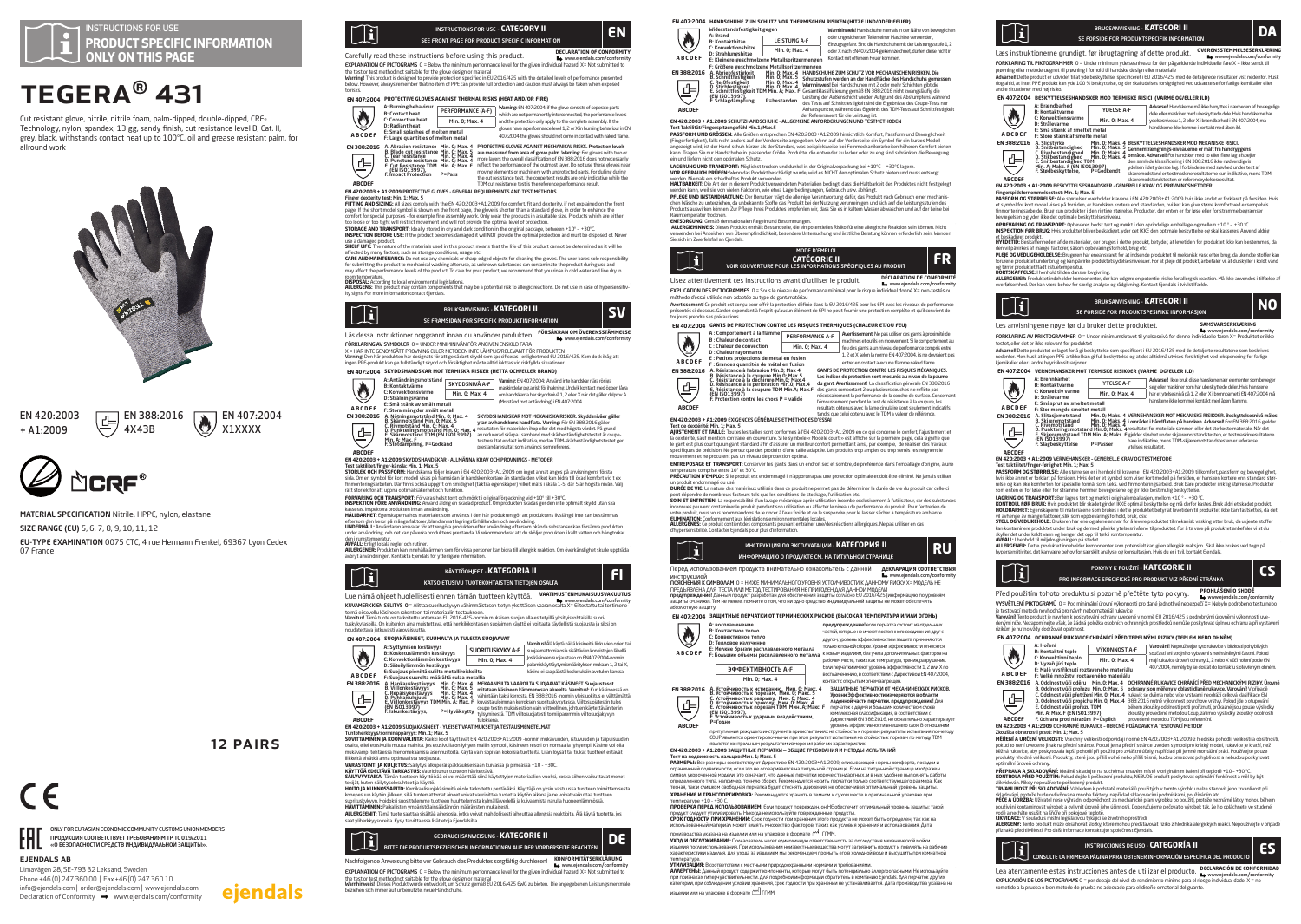

# TEGERA® 431

Cut resistant glove, nitrile, nitrile foam, palm-dipped, double-dipped, CRF® Technology, nylon, spandex, 13 gg, sandy finish, cut resistance level B, Cat. II, grey, black, withstands contact heat up to 100°C, oil and grease resistant palm, for allround work



 $\overline{\oplus}$  EN 388:2016 4X43B

EN 420:2003 + A1:2009

ejendals ab

Limavägen 28, SE-793 32 Leksand, Sweden Phone +46 (0) 247 360 00 | Fax +46 (0) 247 360 10 info@ejendals.com | order@ejendals.com | www.ejendals.com  $Declaration of Conformity \rightarrow www.ejendals.com/conformity$ 

ONLY FOR EURASIAN ECONOMIC COMMUNITY CUSTOMS UNION MEMBERS ПРОДУКЦИЯ СООТВЕТСТВУЕТ ТРЕБОВАНИЯМ ТР ТС 019/2011 «О БЕЗОПАСНОСТИ СРЕДСТВ ИНДИВИДУАЛЬНОЙ ЗАЩИТЫ».

12 Pairs

eiendals

 $\boxed{\phantom{1}1\phantom{1}}$  EN 407:2004 X1XXXX



MATERIAL SPECIFICATION Nitrile, HPPE, nylon, elastane SIZE RANGE (EU) 5, 6, 7, 8, 9, 10, 11, 12

EU-TYPE EXAMINATION 0075 CTC, 4 rue Hermann Frenkel, 69367 Lyon Cedex 07 France



Carefully read these instructions before using this product. DECLARATION OF CONFOR EXPLANATION OF PICTOGRAMS 0 = Below the minimum performance level for the given individual hazard X= Not submitted to

the test or test method not suitable for the glove design or material<br>Warming! This product is designed to provide protection specified in EU 2016/425 with the detailed levels of performance presented<br>below. However, alway to risks. **EN 407:2004 PROTECTIVE GLOVES AGAINST THERMAL RISKS (HEAT AND/OR FIRE)**



**EN 4202003 + ALZOOD PROTECTIVE COUVES - GENEROL REQUIREMENTS AND THET METHOLOGY.**<br>**FITNEY AND STATING IN 1999 FOR THE STATING AND STATING AND STATING THE STATING AND STATING AND STATING AND THE<br>PITTING AND STATING IN 1999** 

STORAGE AND TRANSPORT: Ideally stored in dry and dark condition in the original package, between +10" - +30"C.<br>INSPECTION BEFORE USE: If the product becomes damaged it will NOT provide the optimal protection and must be di

use a damaged product. **SHELF LIFE:** The nature of the materials used in this product means that the life of this product cannot be determined as it will be

affected by many factors, such as storage conditions, usage etc.<br>**CARE AND MAINTENANCE**: Do not use any chemicals or sharp-edged objects for cleaning the gloves. The user bares sole responsibility<br>for submitting the produc

room temperatue.<br>**ALLERGEN**S: This product may contain components that may be a potential risk to allergic reactions. Do not use in case of hypersensitiv-<br>**ALLERGEN**S: This product may contain components that may be a pote



Läs dessa instruktioner noggrannt innan du använder produkten. **FÖRSÄKRAN OM ÖVERENSSTÄMMELSE** www.ejendals.com/conformity

FORKLARING AV SYMBOLER 0 = UNDER MINIMINIVAN FOR ANGUEN ENSKILD FAFA<br>X = HAR INTE GENOMGÄTT PROVINING ELLER METODEN INTE LÄMPLIG/RELEVANT FÖR PRODUKTEN<br>Varining Den här produkten har designats för att ge sådant skydd som s

**EN 407:2004 SKYDDSHANDSKAR MOT TERMISKA RISKER (HETTA OCH/ELLER BRAND)** Varning: EN 407:2004: Använd inte handskar nära rörliga maskindelar p.g.a risk för ihakning. Undvik kontakt med öppen låga om handskarna har skyddsnivå 1, 2 eller X när det gäller delprov A A: Antändningsmotstånd B: Kontaktvärme C: Konvektionsvärme D: Strålningsvärme ♦ SKYDDSNIVÅ A-F Min. 0; Max. 4 (Motstånd mot antändning) i EN 407:2004. E: Små stänk av smält metall<br>E: Stora mängder smält metall **ABCDEF** F: Stora mängder smält metall<br>A. Nötningsmotstånd Min. 0; Max. 4<br>B. Skärmotstånd Min. 0; Max. 4<br>C. Rivmotstånd Min. 0; Max. 4<br>D. Punkteringsmotstånd Min. 0; Max. 4<br>Min. A; Max. F<br>Min. A; Max. F<br>Min. A; Max. F<br>F. Stötdämpni **EN 388:2016** 녝



**EN 420:2003 + A1:2009** SKYDDSHANDSKAR - ALLMÄNNA KRAV OCH PROVNINGS - METODER

**ABCDEF**

Test taktilitet/finger-känsla: Min. 1; Max. 5 **STORLEK OCH PASSFORM:** Handskarna följer kraven i EN 420:2003+A1:2009 om inget annat anges på anvisningens första sida. Om en symbol för kort modell visas på framsidan är handsken kortare än standarden vilket kan bidra till ökad komfort vid t ex finmonteringsarbeten. Där finns också uppgift om smidighet (taktila egenskaper) vilket mäts i skala 1-5, där 5 är högsta nivån. Välj rätt storlek för att uppnå optimal säkerhet och funktion.

**FORWARING OCH TRANSPORT:** FÖRvaras helst tort och mörkt i originalförpackning vid +10° till +30°C i<br>**INSPEKTION FÖRE ANVÄNDNING:** Använd aldrig en skadad produkt. Om produkten skadas ger den inte optimalt skydd utan ska<br>A

ettersom den beror på många faktorer, bland annat lagringsförhällanden och användning.<br>**UNDERHALL:** Användaren ansvarar för att rengöra produkten efter användning eftersom okända substanser kan försämra produkten<br>under anv

den i rumstemperatur.<br>**AUFARGENER**: Produkten kan innehålla ämnen som för vissa personer kan bidra till allergisk reaktion. Om överkänslighet skulle uppträda<br>**AUERGENER:** Produkten kan innehålla ämnen som för vissa persone



Lue nämä ohjeet huolellisesti ennen tämän tuotteen käyttöä. **VAATIMUSTENMUKAISUUSVAKUUTUS** www.ejendals.com/conformity Conformity KUVAMERKKIEN SELITYS 0 = Alittaa suorituskyvyn vähimmäistason tietyn yksittäisen vaaran osalta X= Ei testattu tai te

telmä ei sovellu käsineen rakenteen tai materiaalin testaukseen.<br>Varoitus! Tämä tuote on tarkoitettu antamaan EU 2016-425-orrmin mukaisen suojan alla esitetyillä yksityiskohtaisilla suori **Varoitus!** Tämä tuote on tarkoitettu antamaan EU 2016-425-normin mukaisen suojan alla esitetylliä yksityiskohtaisilla suori-<br>tuskykytasoilla On kuitenkin aina muistettava, että henkilökohtaisen suojaimen käyttö ei voi taa



**ABCDEF**<br>  $\begin{array}{|c|c|c|c|}\n\hline\n\text{A} \text{B} \text{C} \text{D} \text{E} \text{F} & \text{S} \text{ is singular}}\n\hline\n\text{A} \text{B} \text{B} \text{D} \text{A} \text{B} \text{D} \text{A} \text{D} \text{A} \text{D} \text{A} \text{D} \text{A} \text{D} \text{A} \text{D} \text{A} \text{D} \text{A} \text{D} \text{A} \text{D} \text{A} \text{D} \text{A} \text{D} \text{A} \text$ **EN 388:2016**

**MEKANISILTA vARROILTA SUOJAMAT KASINEET. Suojautasot<br>mitataan käsineen kämmenosan alueelta. Varoitusi: Kun käsineessä on<br>vähintään kaksi kerrosta, EN 388:2016 -romin yleiskuokitus ei välttämättä<br>kuvasta uloimman kerrodsen** 

### **ABCDEF EN 420:2003 + A1:2009** SUOJAKÄSINEET - YLEISET VAATIMUKSET JA TESTAUSMENETELMÄT

Tuntoherkkyys/sorminäppäryys: Min. 1; Max. 5 **SOVITTAMINEN JA KOON VALINTA:** Kaikki koot täyttävät EN 420:2003+A1:2009 -normin mukavuuden, istuvuuden ja taipuisuuden osalta, ellei etusivulla muuta mainita. Jos etusivulla on lyhyen mallin symboli, käsineen resori on normaalia lyhyempi. Käsine voi olla<br>mukavampi tehtäessä hienomekaanisia asennustöitä. Käytä vain sopivan kokoisia tuotteit

liikkeitä eivätkä anna optimaalista suojausta. **VARASTOINTI JA KUUJETUS:** Säilytys alkuperäispakkauksessaan kuivassa ja pimeässä +10 - +30C.<br>**KÄYTTÖÄ EDELTÄVÄ TARKASTUS:** Vaurioitunut tuote on hävitettävä.<br>**SÄLLYUYYSAIKA:** Tämän tuotteen käyttöikää ei voi määrittää sii

tekijät, kuten säilytyolosuhteet ja käyttö.<br>HOTTO JA KUNNOSSADPTO: Kemikaalisuojakisineitä ei ole tarkoitettu pestäväksi. Käyttäjä on yksin vastuussa tuotteen toimittamisesta<br>konepesuun käyttö jälkeen, sillä tuntemattomat

**ALLERGEENIT:** Tämä tuote saattaa sisältää ainesosia, jotka voivat mahdollisesti aiheuttaa allergisia reaktioita. Älä käytä tuotetta, jos saat yliherkkyysoireita. Kysy tarvittaessa lisätietoja Ejendalsilta.

BITTE DIE PRODUKTSPEZIFISCHEN INFORMATIONEN AUF DER VORDERSEITE BEACHTEN GEBRAUCHSANWEISUNG - **KATEGORIE II DE**

# Nachfolgende Anweisung bitte vor Gebrauch des Produktes sorgfältig durchlesen! **KONFORMITÄTSERKLÄRUNG**

■ www.ejendals.com/conformity<br>EXPLANATION OF PICTOGRAMS 0 = Below the minimum performance level for the given individual hazard X= Not submitted to

the test or test method not suitable for the glove design or material<br>Wamhinweis! Dieses Produkt wurde entwickelt, um Schutz gemäß EU 2016/425 EWG zu bieten. Die angegebenen Leistungsmerkmale<br>beziehen sich immer auf unbenu

**EN 407:2004 HANDSCHUHE ZUM SCHUTZ VOR THERMISCHEN RISIKEN (HITZE UND/ODER FEUER)** Widerstandsfestigkeit gegen Marnhinweist Handschuhe niemals in der Nähe von beweglichen<br>Oder ungesicherten Teilen einer Maschine verwenden,<br>Einzugsgefahr. Sind die Handschuhe mit der Leistungsstufe 1, 2 A: Brand ۸ a: Brana<br>B: Kontakthitze Min. 0; Max. 4 C: Konvektionshitze D: Strahlungshitze oder X nach EN407:2004 gekennzeichnet, dürfen diese nicht in **ABCDEF** Kontakt mit offenem Feuer kommen. **EN 388:2016**

E: Kleinere geschmolzene Metallspritzermengen<br>
A. Abriedestigkeit<br>
B. Schnitttestigkeit<br>
B. Schnitttestigkeit<br>
M. O. Nax. 5 Schnittstigkeit<br>
B. Schnittestigkeit<br>
M. O. Nax. 5 Schnittstigkeit<br>
E. Schnittester<br>
E. Schnittest HANDSCHUHE ZUM SCHUITZ VOR MECHANISCHEN RISIKEN. Die Schutzstufen werden an der Handfläche des Handschuhs gemessen.<br>Schutzstufen werden an der Handfläche des Handschuhs gemessen.<br>Marnhinweis! Bei Handschuhe m nit? Zoder me

der Referenzwert für die Leistung ist.<br>**EN 420:2003 + A1:2009** SCHUTZHANDSCHUHE - ALLGEMEINE ANFORDERUNGEN UND TESTMETHODEN

# Test Taktilität/Fingerspitzengefühl Min.1; Max.5<br>PASSFORM UND GRÖSSEN: Alle Größen entspreche

**ABCDEF**

 $\overline{d}$ 

**PASSFORM UND GROSSEN:** Alle Größen entsprechen EN 420:2003+A1:2009 hinsichtlich Komfort, Passform und Beweglichkeit<br>(Fingerfertigkeit), falls nicht anders auf der Vorderseite angegeben. Wenn auf der Vorderseite ein Symbol angezeigt wird, ist der Hand-schuh kürzer als der Standard, was beispielsweise bei Feinmechanikerarbeiten höheren Komfort bieten<br>kann. Tragen Sie nur Handschuhe in passender Größe. Produkte, die entweder zu locker oder zu

ein und liefem nicht den optimales Schutz.<br>1966: March 2001: March 2001: March 2001: March 2001: March 2001: March 2001: March 2001: March 2001: March 20<br>1966: March 2001: March 2001: March 2001: March 2001: March 2001: M

Raumengeaut frochen.<br>**AU EXEC de l'Antion de mationalen Regein und Bestimmungen.**<br>**AU EXEC de Mation den mationalen Regein und Bestimmungen, et en potentielles Risiko für eine allegische Reaktion sein können. Nicht eine We** 



Lisez attentivement ces instructions avant d'utiliser le produit. **DÉCLARATION DE CONFORMIT** 



EXPLICATION USE PRETORARMENES O = Sous te niveau de performance mimmal pour le reque individuel donne X = non-testes ou<br>Avet mosement ca produt est conquisive au type de gentrimatériaire anns la D 2014/25 pour les PFI avec

### **EN 407:2004 GANTS DE PROTECTION CONTRE LES RISQUES THERMIQUES (CHALEUR ET/OU FEU)**

|                                            | CN 407;2004 GANTS DE PROTECTION CONTRE LES RISOUES THERMIOUES (CHALEUR ET/OU FEU)                                                                                                                                                                                                           |                 |  |                                                                                                                                                                                                                                                                                                                                                                                                                                                                                                                              |
|--------------------------------------------|---------------------------------------------------------------------------------------------------------------------------------------------------------------------------------------------------------------------------------------------------------------------------------------------|-----------------|--|------------------------------------------------------------------------------------------------------------------------------------------------------------------------------------------------------------------------------------------------------------------------------------------------------------------------------------------------------------------------------------------------------------------------------------------------------------------------------------------------------------------------------|
|                                            | A : Comportement à la flamme i<br><b>B</b> : Chaleur de contact                                                                                                                                                                                                                             | PERFORMANCE A-F |  | Avertissement! Ne pas utiliser ces gants à proximité de<br>machines et outils en mouvement. Si le comportement au<br>feu des gants a un niveau de performance compris entre                                                                                                                                                                                                                                                                                                                                                  |
|                                            | C: Chaleur de convection<br>D : Chaleur ravonnante                                                                                                                                                                                                                                          | Min. 0: Max. 4  |  |                                                                                                                                                                                                                                                                                                                                                                                                                                                                                                                              |
| <b>ABCDEF</b>                              | E : Petites projections de métal en fusion<br>F : Grandes quantités de métal en fusion                                                                                                                                                                                                      |                 |  | 1.2 et X selon la norme EN 407:2004, ils ne devraient pas<br>entrer en contact avec une flamme.naked flame.                                                                                                                                                                                                                                                                                                                                                                                                                  |
| <b>EN 388:2016</b><br>₫-'<br><b>ABCDEF</b> | A. Résistance à l'abrasion Min.O: Max 4<br>B. Résistance à la coupure Min.O: Max.5<br>C. Résistance à la déchirure Min.O: Max.4<br>D. Résistance à la perforation Min.0; Max.4<br>E. Résistance à la coupure TDM Min.A; Max.F<br>(EN ISO13997)<br>F. Protection contre les chocs P = validé |                 |  | GANTS DE PROTECTION CONTRE LES RISOUES MÉCANIOUES.<br>Les indices de protection sont mesurés au nivau de la paume<br>du gant, Avertissement! La classification générale EN 388:2016<br>des gants comportant 2 ou plusieurs couches ne reflète pas<br>nécessairement la performance de la couche de surface. Concernant<br>l'émoussement pendant le test de résistance à la coupure, les<br>résultats obtenus avec la lame circulaire sont seulement indicatifs.<br>ponticiona calui obtanu quae la TDM a valaur da ráfáranca |

# **EN 420:2003 + A1:2009** EXIGENCES GÉNÉRALES ET MÉTHODES D'ESSAI

T**est de dextérité: Min. 1; Max. 5**<br>**AJUSTEMENT ET TAILLE:** Toutes les tailles sont conformes à l'EN 420:2003+A1:2009 en ce qui concerne le confort, l'ajustement et la dextérité, sauf mention contraire en couverture. Si le symbole « Modèle court » est affiché sur la première page, cela signifie que<br>le gant est plus court qu'un gant standard afin d'assurer un mellieur confort permettan mouvement et ne procurent pas un niveau de protection optimal.

# **ENTREPOSAGE ET TRANSPORT:** Conserver les gants dans un endroit sec et sombre, de préférence dans l'emballage d'origine, à une

température comprise entre 10° et 30°C. **PRÉCAUTION D'EMPLOI:** Si le produit est endommagé il n'apportera pas une protection optimale et doit être eliminé. Ne jamais utiliser

un produt enformagé ou usé.<br>peut dépendre de nombreux facteurs tels gou les conditions de strolage, publisément le durée de vie du produit car celle-ci<br>peut dépendre de nombreux facteurs tels gou les conditions de strolage **ELIMINATION:** Conformément aux législations environnementales locales. ' **ALLERGÈNES:** Ce produit contient des composants pouvant entraîner une/des réactions allergiques. Ne pas utiliser en cas

d'hypersensibilité. Contacter Ejendals pour plus d'information.



Перед использованием продукта внимательно ознакомьтесь с данной **ДЕКЛАРАЦИЯ СООТВЕТСТВИЯ** инструкцией www.ejendals.com/conformity ПОЯСНЕНИЯ К СИМВОЛАМ 0 = НИЖЕ МИНИМАЛЬНОГО УРОВНЯ УСТОЙЧИВОСТИ К ДАННОМУ РИСКУ X= МОДЕЛЬ НЕ

ПРЕДЪЯВЛЕНА ДЛЯ ТЕСТА ИЛИ МЕТОД ТЕСТИРОВАНИЯ НЕ ПРИГОДЕН ДЛЯ ДАННОЙ МОДЕЛИ предупреждение! Данный продукт разработан для обеспечения защиты согласно EU 2016/425 (информацию по уровням защиты см. ниже). Тем не менее, помните о том, что ни одно средство индивидуальной защиты не может обеспечить

### абсолютную защиту. **EN 407:2004 ЗАЩИТНЫЕ ПЕРЧАТКИ ОТ ТЕРМИЧЕСКИХ РИСКОВ (ВЫСОКАЯ ТЕМПЕРАТУРА И/ИЛИ ОГОНЬ)**

C: Конвективное тепло D: Тепловое излучение E: Мелкие брызги расплавленного металла F: Большие объемы расплавленного металла **SOFTIAD ACTLA C** предупреждение! если перчатка состоит из отдел<br>предупреждение! если перчатка состоит из отдел частей, которые не имеют постоянного соединения друг с другом, уровень эффективности и защита применяются только к полной сборке. Уровни эффективности относятся к новым изделиям, без учета дополнительных факторов на е<br>рабочем месте, таких как темпратура, трения, разрушение.<br>Если папчатки имеют уповень эффективности 1 2 или X п Если перчатки имеют уровень эффективности 1, 2 или X по воспламенению, в соответствии с Директивой EN 407:2004,

Min. 0; Max. 4 контакт с открытым огнем запрещен. A. Устойчивость к истиранию, Мин. 0; Макс. 4 B. Устойчивость к порезам, Мин. 0; Макс. 5 C. Устойчивость к разрыву, Мин. 0; Макс. 4 D. Устойчивость к проколу, Мин. 0; Макс. 4 E. Устойчивость к порезам TDM Мин. A; Макс. F (EN ISO13997), F. Устойчивость к ударным воздействиям, P=Годно ЗАЩИТНЫЕ ПЕРЧАТКИ ОТ МЕХАНИЧЕСКИХ РИСКОВ.<br>Уровни Эффективности измеряются в области<br>падонной части перчатки. предупреждение! Для<br>перчаток с двумя и большим количеством слоев<br>комплексная классификация, в соответствии слоев

.<br>- притупления режущего инструмента при испытаниях на стойкость к порезам результаты испытания по методу<br>- сомустания рожниционным, при этом результат испытаниях на стойкость к порезам результаты испытания по методу<br>- яв

**EN 420:2003 + A1:2009** ЗАЩИТНЫЕ ПЕРЧАТКИ — ОБЩИЕ ТРЕБОВАНИЯ И МЕТОДЫ ИСПЫТАНИЙ

# Тест на подалежисть пальцев: Мни. 1. Макс. 5<br>РАЗМЕРЫ: Все разнеры соответствуют Директиве ЕМ 4202003-1412003, описывающей нормы комфорта, посадки и<br>отраженный падавизок гли, если это не откарывается на титуамной стражены:

температуре +10 - +30 С. **ПРОВЕРКА ПЕРЕД ИСПОЛЬЗОВАНИЕМ:** Если продукт поврежден, он НЕ обеспечит оптимальный уровень защиты; такой

продукт следует утилизировать. Никогда не используйте поврежденные продукты.<br>**СРОК ГОДНОСТИ ПРИ ХРАНЕНИИ:** Срок годности при хранении этого продукта не может быть определен, так как на<br>использованный материал может влиять

### лизводства указана на изделии или на упаковке в формате  $\overline{\mathbb{C}^2}$  ГГММ.

**УХОД И ОБСЛУЖИВАНИЕ:** Пользователь несет единоличную ответственность за последствия механической мойки<br>изделия после использования. При использовании неизвестные вещества могут загрязнить продукт и повилять на рабочие<br>ха

темературе.<br>**ИМАРТЕНЫ**: Дностветствии с местными природоохранными нормами и требованиеми.<br>АМАРТЕНЫ: Днемай продукт смарковт компоненты, есторые могут били: потенциально алюстоосранными. Не используйте<br>категорий, при собир изделии или на упаковке в формате ГГММ.

A: воспламенение B: Контактное тепло

**ABCDEF**

۸

**EN 388:2016**

**ABCDEF**

専

۱ĩ BRUGSANVISNING - **KATEGORI II II DA**<br>SE FORSIDE FOR PRODUKTSPECIFIK INFORMATION

Læs instruktionerne grundigt, før ibrugtagning af dette produkt. **OVERENSSTEMMELSESERKLÆRING** www.ejendals.com/conformity.com/<br>FORKI ARINIC TIL PIKTOGRAMMER\_0 = Linder minimum vdelsesniusau for den cåsaeldende individuelle fare Y = Ikke sendt til

FORMARING TIL PARTOORAMMER O – Under minimum ydelsesniqual ura den pägadende individuele fare X = kies sendt ti<br>prøvning eller metode uegent til prøvning i forhold til handske design eller materale<br>Advanted artes (Pre arte

### **EN 407:2004 BESKYTTELSESHANDSKER MOD TERMISKE RISICI (VARME OG/ELLER ILD)**



F: Store stenk at smelte metal<br>A. Slidstyrke<br>B. Snithestandighed Min. 0: Maks. 4<br>C. Rivebestandighed Min. 0: Maks. 4<br>C. Rivebestandighed Min. 0: Maks. 4<br>E. Snithestandighed TDM<br>Min. A; Maks. F (EN ISO13997)<br>F. Stødbeskytte BESKYTTELSESHANDSKER MOD MEKANISKE RISIGL<br>Gennemtrængnings-niveauerne er målt fra håndryggens<br>område. Advarsell For handsker med to eller flere lag afspeljer<br>den samlede klassificering i EN 388:2016 ikke nødvendigvis<br>ydels **EN 388:2016**

### skæremodstandstesten er referenceydelsesresultat. **ABCDEF EN 420:2003 + A1:2009** BESKYTTELSESHANDSKER - GENERELLE KRAV OG PRØVNINGSMETODER

A: Brennbarhet B: Kontaktvarme C: Konvektiv varme D: Strålevarme E: Småsprut av smeltet metall **ABCDEF**

Test taktilitet/finger-førlighet: Min. 1; Max. 5

**EN 388:2016**

Ò

**ABCDEF**

**EN 388:2016**

 $\overline{\mathbf{v}}$ 

 $\gamma_{\rm i}$ 

F: Stor mengde smelltet metall<br>A. Slitasjemotstand Min. 0; Maks. 4<br>B. Skjæremotstand Min. 0; Maks. 4<br>C. Rivemotstand Min. 0; Maks. 4<br>D. Punkteringsmotstand Min. 0; Maks. 4<br>E. Skjæremotstand TDM Min. A; Maks. F<br>(EN ISO13997

**EN 420:2003 + A1:2009** VERNEHANSKER – GENERELLE KRAV OG TESTMETODE

A: Hoření<br>B: Konvektivní teplo<br>C: Konvektivní teplo<br>D: Vyzařující teplo<br>E: Malé vystříknutí roztaveného materiálu<br>F: Velké množství roztaveného materiálu

**ABCDEF EN 420:2003 + A1:2009** OCHRANNÉ RUKAVICE – OBECNÉ POŽADAVKY A TESTOVACÍ METODY

sometido a la prueba o bien método de prueba no adecuado para el diseño o material del guante.

**A BCD EF** F: Velike mozartví roztaveného materik<br>
18 3062-2016 A Odolnost vůči pročev Min. 0; Max, 4<br>
B. Odolnost vůči přetzení Min. 0; Max, 5<br>
B. Odolnost vůči přetzení Min. 0; Max<br>
B. Odolnost vůči pretzení Min. 0; Max<br>

Fingerspidsfornemmelsestest: Min. 1; Max. 5 **PASFORM OG STØRRELSE:** Alle størrelser overholder kravene i EN 420:2003+A1:2009 hvis ikke andet er forklaret på forsiden. Hvis et symbol for kort model vises på forsiden, er handsken kortere end standarden, hvilket kan give større komfort ved eksempelvis<br>finmonteringsarbejde. Brug kun produkter i den rigtige størrelse. Produkter, der enten er for

**OPBEVARING OG TRANSPORT:** Opbevares bedst tørt og mørkt i den oprindelige emballage og mellem +10 ° - +30 °C.<br>I**NSPEKTION FØR BRUG:** Hvis produktet bliver beskadiget, yder det IKKE den optimale beskyttelse og skal kasser et beskadiget produkt.<br>HYLDFTID: Beskaffenheden af de materialer, der bruges i dette produkt, betyder, at levetiden for produktet ikke kan bestemmes, da

HYUDETID: Besiadfraheden af de materialer, de trouges i dette produkt, betyder, at levelden for produktet ikke kan bestemmer, da<br>PLEN Diphrikes af mange faktorer, sisom opbevaringsforhold, brug etc.<br>PLEN COV UNCERNOUSES: B

**ALLERGENER:** Produktet indeholder komponenter, der kan udgøre en potentiel risiko for allergisk reaktion. Må ikke anvendes i tilfælde af<br>overfølsomhed. Der kan være behov for særlig analyse og rådgivning. Kontakt Ejendals

testet, eller det er ikke relevant for produktet<br>Advarsell Dette produktet er laget for å gl beskyttelse som spesifisert i EU 2016/425 med de detaljerte resultatene som beskrives<br>nederfor. Men husk at ingen PPE-artikkel ka

PASSFORM OG STØRRELSE: Alle størrelser er i henhold til kravene i EN 420:2003+A1:2009 til komfort, passform og bevegelighet, hvis ikke annet er forklart på forsiden. Hvis det er et symbol som viser kort modell på forsiden, er hansken kortere enn standard stør<br>relse og kan øke komforten for spesielle formål som f.eks. ved finmorteringsarbeid. Bru LAGRING OG TRANSPORT: Bør lagres tørt og mørkt i originalemballasjen, mellom +10 ° - +30 °C.<br>KONTROLL FØR BRUK: Hvis produktet blir skadet gir det IKKE optimal beskyttelse og må derfor kastes. Bruk aldri et skadet produkt. **HOLDBARNET:** Experiadopen El materialente som budes i dette produktet betyr at levelden til produktet ikke kan franstettes, da det<br>ST**ELL OG VERUREFIOLD**: En diesem har opere allem smoot for a levele produktet til mekanis

Před použitím tohoto produktu si pozorně přečtěte tyto pokyny. **PROHLÁŠENÍ O SHODĚ** www.ejendals.com/conformity VYSVĚTLENÍ PIKTOGRAMŮ 0 = Pod minimální úrovní výkonnosti pro dané jednotlivé nebezpečí X= Nebylo podrobeno testu nebo je testovací metoda nevhodná pro návrh nebo materiál rukavice<br>Varování! Tento produkt je navržen k poskytování ochrany uvedené v normě EU 2016/425 s podrobnými úrovněmi výkonnosti uve<br>denými níže. Nezapomínejte však, že žá rizikům je nutno vždy dodržovat opatrnost.<br>FN 407-2004 - OCHRANNÉ RUKAVICE CHRÁNÍCÍ PŘED TEPELNÝMI RIZIKY (TEPLEM NERO OHNĚM)

Zkouška okonnosti prstik Mh. 1: Max 5<br>Meščka A URCENÍ VeLIKOST: Všetky velikosti odpovidají normě EN 420.2003-N1.2003 z hlediska pohodií, velikosti a obratnosti,<br>pokula to nei u velikosti plan k na předsi stánicia: Pokula

**KONTROLA PRED POUZITINE:** Pokol dojsie jozička stavi količini pouziti produkti podvijevani goslini funkciota ameriky byli politik politik politik politik politik politik politik politik politik politik politik politik pol

INSTRUCCIONES DE USO - **CATEGORÍA II IL SECONDO DE SECONDO DE ESPECÍFICA DEL PRODUCTO ESPECÍFICA DEL PRODUCTO** Lea atentamente estas instrucciones antes de utilizar el producto. **DECLARACIÓN DE CONFORMIDAD**  EXPLICACIÓN DE LOS PICTOGRAMAS 0 = por debajo del nivel de rendimiento mínimo para el riesgo individual dado X = no

VÝKONNOST A-F Min. 0; Max. 4 **EN 407:2004** CHRANIC ECHRANICI PRED TEPELNYMI RIZIKY (TEPLEN NEBO OHNEM)<br>
B. Konnektivini teplo (VÝKONNOST A.F (anomali Nepozibilej typo katalica královstvá projekty)<br>
C. Konnektivini teplo (King Britan III. D.)<br>
D. Konne

POKYNY K POUŽITÍ - **KATEGORIE II**<br>PRO INFORMACE SPECIFICKÉ PRO PRODUKT VIZ PŘEDNÍ STRÁNKA**NECES PRODUKT** 

Advarsel! Ikke bruk disse hanskene nær elementer som beveger seg eller maskiner som har ubeskyttede deler. Hvis hanskene har et ytelsesnivå på 1, 2 eller X i brennbarhet i EN 407:2004 må hanskene ikke komme i kontakt med åpen flamme.

**VERNEHANSIKER MOT MEKANISKE RISIKOER. Beskyttelsesnivå mäles om om det alle internet av andra starter i man de<br>i området i händflaten på hansken. Advarsell For EN 3882015 gjelder<br>resultatet for materiale sammen eller det** 

OCHRANNE RUKAVICC CHRANNEI PRED MECHANNEIXYM RIZIKY, Urovně<br>ochrany jsou měleny v oblasti dlaně rukavice. Varovánil V připadě<br>návalc se dvěma nebo více vrstvami neodráží celková klasifikace EN<br>3882.016 nutně výkonoras povr

YTELSE A-F Min. 0; Max. 4 **EN 407:2004 VERNEHANSKER MOT TERMISKE RISIKOER (VARME OG/ELLER ILD)**

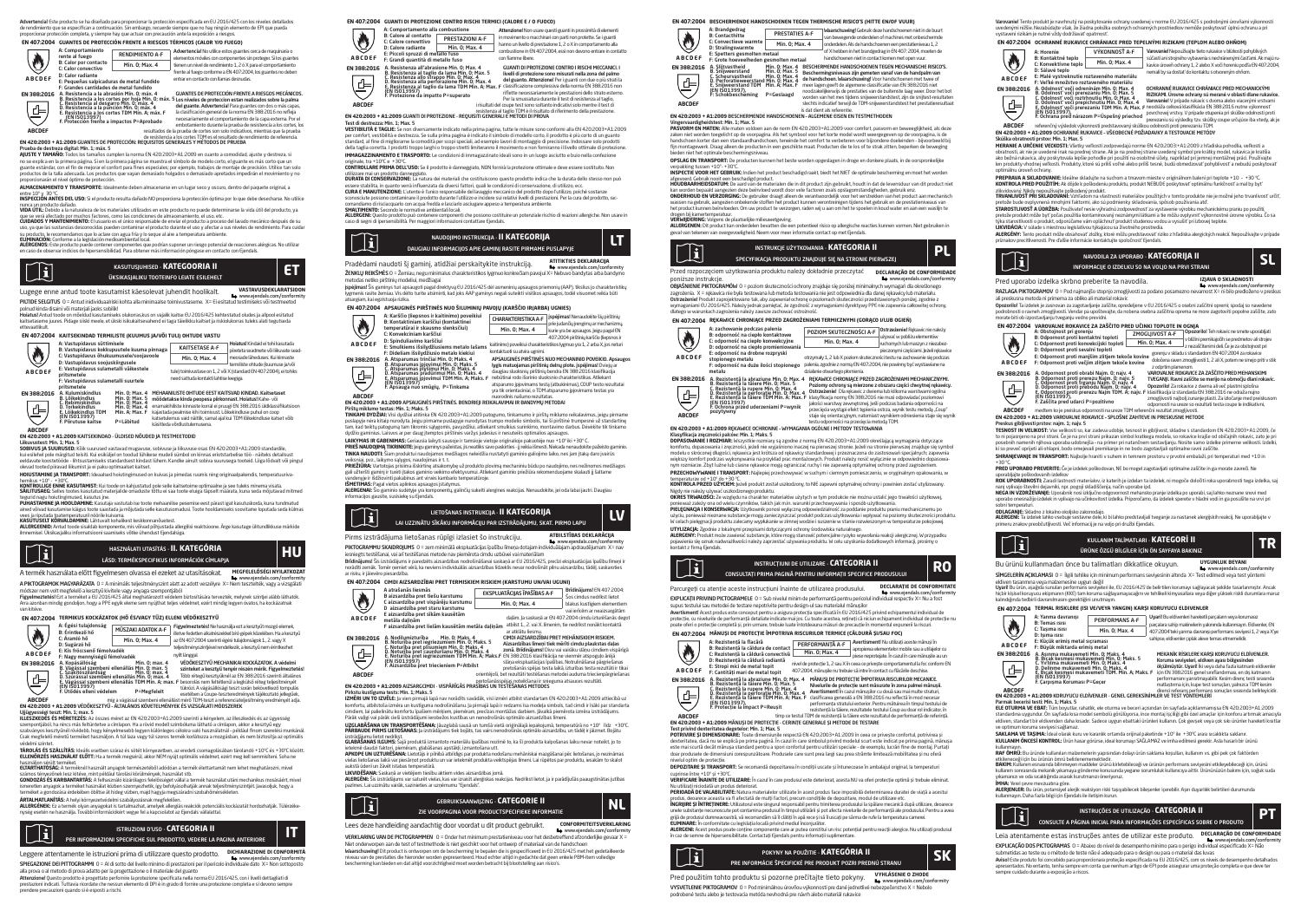Advertencia! Este producto se ha diseñado para proporcionar la protección especificada en EU 2016/425 con los niveles detallados de rendimiento que se especifican a continuación. Sin embargo, recuerde siempre que no hay ningún elemento de EPI que pueda<br>proporcionar protección completa, y siempre hay que actuar con precaución ante la exposición a rie

# **EN 407:2004 GUANTES DE PROTECCIÓN FRENTE A RIESGOS TÉRMICOS (CALOR Y/O FUEGO)**



F: Grandes cantidades de metal fundido<br>A. Resistencia a la abrasión Mín. 0; máx. 4<br>B. Resistencia a los cortes por hoja Mín. 0; máx. 5<br>C. Resistencia a la punción Mín. 0; máx. 4<br>D. Resistencia a la punción Mín. 0; máx. 4 EN 388:2016 A: Resistencia a la abrasion Min. 0; max. 4<br>B. Resistencia a los cortes por hija Min. 0; max. 4 Dies niveles de proteccion estan realizados sobre la palma<br>C. Resistencia a la punción Min. 0: máx. 4 del guante. E. Resistencia a los cortes TDM Mín. A; máx. F (EN ISO13997) F. Protección frente a impactos P=Aprobado la clasificación general de la norma EN 388:2016 no refleja necesariamente el comportamiento de la capa externa. Por el embotamiento durante la prueba de resistencia a los cortes, los Ē,

### resultados de la prueba de cortes son solo indicativos, mientras que la prueba **ABCDEF**

de resistencia a los cortes TDM es el resultado de rendimiento de referencia.<br>**EN 420:2003 + A1:2009** GUANTES DE PROTECCIÓN: REQUISITOS GENERALES Y MÉTODOS DE PRUEBA

Prueba de destreza digital: Mín. 1; máx. 5 **AJUSTE Y TAMAÑO:** Todos los tamaños cumplen la norma EN 420:2003+A1:2009 en cuanto a comodidad, ajuste y destreza, si nyo se en la primera pagina página es cunquen a noma correcceo o mecedo en cuanto a comododo, quate y desueca,<br>No se evolica en la primera página. Si en la primera página se muestra el símbolo de modelo corto, el guante es guante estándar, con el fin de mejorar el confort para fines especiales; por ejemplo, trabajos de montaje de precisión. Utilice tan solo<br>productos de la talla adecuada. Los productos que vayan demasiado holgados o demasiad

proporcionarán el nivel óptimo de protección. **ALMACENAMIENTO Y TRANSPORTE:** Idealmente deben almacenarse en un lugar seco y oscuro, dentro del paquete original, a

entre 10º y 30 ºC. **INSPECCIÓN ANTES DEL USO:** Si el producto resulta dañado NO proporciona la protección óptima por lo que debe desecharse. No utilice

nunca un producto dañado.<br>WDA ÚTIL: Debido a la naturaleza de los materiales utilizados en este producto no puede determinarse la vida útil del producto, va VIDA UTIL: Usolo la la naturaleza de los materiales utilizados en este producto no puede determinarse la vida util del producto, ya<br>que se vecla afectado por muchos factores, como las condidanses de emisentamento, el uso,



KASUTUSJUHISED - **KATEGOORIA II ET**  $\mathbb{T}$ ÜKSIKASJALIKU TOOTEINFO LEIATE ESILEHELT

Lugege enne antud toote kasutamist käesolevat juhendit hoolikalt. **VASTAVUSDEKLARATSIOON** www.ejendals.com/conformity PILTIDE SELGITUS 0 = Antud inidividuaalriski kohta alla minimaalse toimivustaseme. X= Ei esitatud testimiseks või testmeetod

polnud kinda disaini või materjali jaoks sobilik!<br>**Hoiatus!** Antud toode on mõeldud kasutamiseks olukorras,kus on vajalik kaitse EU 2016/425 kehtestatud oludes ja allpool esitatud kaitsetaseme juures. Pidage siiski meele, et ükski isikukaitsevahend ei taga täielikku kaitset ja riskiolukorras tuleks alati tegutseda

Hoiatus! Kindaid ei tohi kasutada piireteta seadmete või liikuvate sead-meosade läheduses. Kui kinnaste termiliste ohtude (kuumuse ja/või

### ettevaatlikult. **EN 407:2004 KAITSEKINDAD TERMILISTE (KUUMUS JA/VÕI TULI) OHTUDE VASTU**

| ÷           | A: Vastupidavus süttimisele<br>B: Vastupidavus kokkupuutele kuuma pinnaga                                                                                                                   |                                | KAITSFTASF A-F                                                                                               | Hoiatus! Kindaid ei tohi kasutada<br>piireteta seadmete või liikuvate sea |
|-------------|---------------------------------------------------------------------------------------------------------------------------------------------------------------------------------------------|--------------------------------|--------------------------------------------------------------------------------------------------------------|---------------------------------------------------------------------------|
| O           | C: Vastupidavus õhukuumusele/sooiavoole<br>D: Vastupidavus sooiuskiireusele<br>E: Vastupidavus sulametalli väikestele<br>pritsmetele<br>F: Vastupidavus sulametalli suurtele<br>pritsmetele |                                | Min. 0: Max. 4                                                                                               | mensade läheduses. Kui kinnaste<br>termiliste ohtude (kuumuse ja/või      |
| ABCDEF      |                                                                                                                                                                                             |                                | tule) toimivustase on 1, 2 või X (standard EN 407:2004), ei tohiks<br>need sattuda kontakti lahtise leegiga. |                                                                           |
| EN 388:2016 | A. Kulumiskindlus<br><b>D. Läikokindlur</b>                                                                                                                                                 | Min. 0: Max. 4<br>Min O. May E | MEHAANILISTE OHTUDE FEST KAITSVAD KINDAD. Kaitsetaset                                                        |                                                                           |

A. Kulumiskindlus Min. 0; Max. 4<br>B. Lõikekindlus Min. 0; Max. 4<br>C. Rebimiskindlus Min. 0; Max. 4<br>E. Lõikekindlus TDM Min. A; Max. 4<br>E. Põrutuse kaitse P=Läbitud<br>F. Põrutuse kaitse P=Läbitud MEHAANILISTE OHTUDE EEST KAITSVAD KINDAD. Katsetaset<br>enäädetakse kinda peopesa piirkonnast. Hoiatus! Kahe- või<br>enämäkihiiste kinnaste korral ei pruugi EN 388:2016 üldklassifikatsioon<br>kaisetulemus vaid näitilk, samal ajal k katsetulemus varunamus.<br>käsitleda võrdlustulemusena.

# **ABCDEF EN 420:2003 + A1:2009** KAITSEKINDAD - ÜLDISED NÕUDED JA TESTMEETODID

en vastasos – vasasos kon samuovo – odoiseo voodeo ja Testriee toolo<br>Liikuvustest: Min. 1; Max. 5<br>SARINHS IA SHIIDHSED: Käiksuunused vastavad musauuse sobivuse ja liikuvuse osas EN 420:2003+41:2009 standardile **SOBIVUS jA SUURUSED:** Kõik suurused vastavad mugavuse, sobivuse ja liikuvuse osas EN 420:2003+A1:2009 standardile,<br>kui esilehel pole märgitud teisiti. Kui esiküljel on toodud lühikese mudeli sümbol on kinnas eriotstarbede

eeldavate koostetoode - lintsustamiseks standardsest kindas:<br>olevad tooted niiravad liikumist ja ei naku optimaalset kaitset. **HOIUSTAMINE JA TRANSPORT:** Ideaalsed hoiutingimused on kuivas ja pimedas ruumis ning originaalpakendis, temperatuuriva-

hemikus +10º - +30ºC. **KONTROLLIGE ENNE KASUTAMIST:** Kui toode on kahjustatud pole selle kaitsetoime optimaalne ja see tuleks minema visata.

**SALLTUSAEG**: Selles tootes kasutatud materjalide omaduste tõttu ei saa toote eluiga täpselt määrata, kuna seda mõjutavad mitmed<br>**PUJUKSTANINE (A HOOLDAMIN**E: Kasutaja vastutab ise toote mehaanlike pesemise eest pärast iga ailleu voivau kasutamise kaigus tolote saastaua ja mojutaua selle kasutustit<br>vees ja riputada toatemperatuuril nöörile kuivama.<br>**KASUTUSELT KÕRVALDAMINE:** Lähtuvalt kohalikest keskkonnanõuetest.

**KASUTUSELT KORVALDAMINE**: Lähtuvalt kohalikest keskkonnanõuetest.<br>**ALLERGENID:** Antud toode sisaldab komponente, mis võivad põhjustada allergilisi reaktsioone. Ärge kasutage ülitundlikkuse märkide<br>ilmnemisel. Üksikasjalik



A termék használata előtt figyelmesen olvassa el ezeket az utasításokat. **MEGFELELŐSÉGI NYILATKOZAT** www.ejendals.com/conformity →<br>A PIKTOGRAMOK MAGYARÁZATA 0 = A minimális teljesítményszint alatt az adott veszélyre X= Ne

módszer nem volt megfelelő a kesztyű kivitele vagy anyaga szempontjából<br>Figyelmeztetés! Ezt a terméket a EU 2016/425 által meghatározott védelem biztosítására tervezték, melynek szintjei alább láthatók.<br>Arra azonban mindig van kitéve.

### **EN 407:2004 TERMIKUS KOCKÁZATOK (HŐ ÉS/VAGY TŰZ) ELLENI VÉDŐKESZTYŰ**

|               | A: Égési tulaidonság<br>B: Érintkező hő   | MŰSZAKI ADATOK A-F                                                                                                  | Figyelmeztetés! Ne használia ezt a kesztvűt mozgó elemek.<br>illetve fedetlen alkatrészekkel bíró gépek közelében. Ha a kesztvű |  |  |
|---------------|-------------------------------------------|---------------------------------------------------------------------------------------------------------------------|---------------------------------------------------------------------------------------------------------------------------------|--|--|
|               | C: Áramló hő<br>D: Sugárzó hő             | Min. 0: Max. 4                                                                                                      | az EN 407:2004 szerinti égési tulaidonságok 1., 2. vagy X                                                                       |  |  |
|               | F: Kis fröccsenő fémolyadék               |                                                                                                                     | teliesítményszintiével rendelkezik, a kesztvű nem érintkezhet                                                                   |  |  |
| <b>ABCDEF</b> | F: Nagy mennyiségű fémolyadék             |                                                                                                                     | nvílt lánegal.                                                                                                                  |  |  |
| EN 388:2016   | A. Kopásállóság                           | Min. 0: max. 4                                                                                                      | VÉDÖKESZTYŰ MECHANIKAI KOCKÁZATOK. A védelmi                                                                                    |  |  |
|               | C. Szakítószilárdság                      | B. Vágással szembeni ellenállás Min. 0: max. 5<br>Min. 0: max. 4<br>D. Szúrással szembéni ellenállás Min. O: max. 4 | szinteket a kesztvű tenvér részén mérik. Figyelmeztetés!<br>Több rétegű kesztvűknél az EN 388:2016 szerinti általános           |  |  |
| '라            | (EN ISO13997)<br>F. Ütődés elleni védelem |                                                                                                                     | E. Vágással szembeni ellenállás TDM Min. A: max. F besorolás nem feltétlenül a legkülső réteg teljesítményét.                   |  |  |
|               |                                           | P=Megfelelt                                                                                                         | tükrözi. A vágásállósági teszt során bekövetkező tompulás<br>esetében a Coupe-teszteredmények tájékoztató jellegűek.            |  |  |

# míg a vágással szembeni ellenállást mérő TDM-teszt a referenciateljesítmény eredményét adja.<br>**EN 420:2003 + A1:2009 VÉDŐKESZTYŰ - ÁLTALÁNOS KÖVETELMÉNYEK ÉS VIZSGÁLATI MÓDSZEREK**

Ujjügyességi teszt: Min. 1; max. 5 **ILLESZKEDÉS ÉS MÉRETEZÉS:** Az összes méret az EN 420:2003+A1:2009 szerinti a kényelem, az illeszkedés és az ügyesség

szempontjából, ha nincs más feltüntetve a címlapon. Ha a rövid modell szimbóluma látható a címlapon, akkor a kesztyű egy<br>szabványos kesztyűnél rövidebb, hogy kényelmesebb legyen különleges célokra való használatnál – példá Csak megfelelő méretű terméket használjon. A túl laza vagy túl szoros termék korlátozza a mozgásban, és nem biztosítja az optimális védelmi szintet.

**TAROLAS ES SZALLITAS:** Ideális esetben száraz és sötét környezetben, az eredeti csomagolásában tárolandó +10°C és +30°C között.<br>**ELLENŐRZÉS HASZNÁLAT ELŐTT:** Ha a termék megsérül, akkor NEM nyújt optimális védelmet, ezért

használjon sérült terméket.<br>**ELTARTHATÓSÁG:** A terméknél használt anyagok természetéből adódóan a termék élettartamát nem lehet meghatározni, mivel számos tényezőnek lesz kitéve, mint például tárolási körülmények, használat stb.<br>**GONDOZÁS ÉS KARBANTARTÁS:** A felhasználó kizárólagos felelősséget vállal a termék használat utáni mechanikus mosásáért, mivel

ismeretlen anyagok a terméket használat közben szennyezhetik, így befolyásolhatják annak teljesítményszintjét. Javasoljuk, hogy a isméreken anyagok a terméket nasznalat közben szemnyeznetik, így belolyásolnagák amiák teljesítmény<br>terméket a gondozása érdekében öblítse át hideg vízben, majd hagyia megszáradni szobahőmérsékleten.

**ÁRTALMATLANÍTÁS:** A helyi környezetvédelmi szabályozásnak megfelelően.<br>**ALLERGÉNEK:** Ez a termék olyan anyagokat is tartalmazhat, amelyek allergiás reakciók potenciális kockázatát hordozhatják. Túlérzéke-<br>nység esetén ne



Leggere attentamente le istruzioni prima di utilizzare questo prodotto. **DICHIARAZIONE DI CONFORM**  www.ejendals.com/conformity SPIEGAZIONE DEI PITTOGRAMMI 0 = AL di sotto del livello minimo di prestazioni per il pericolo in alla prova o al metodo di prova adatto per la progettazione o il materiale del guanto

**Attenzione!** Questo prodotto è progettato perfornire la protezione specificata nella norma EU 2016/425, con i livelli dettagliati di<br>prestazioni indicati. Tuttavia ricordate che nessun elemento di DPI è in grado di fornir prendere precauzioni quando si è esposti a rischi.

| EN 407:2004 GUANTI DI PROTEZIONE CONTRO RISCHI TERMICI (CALORE E / O FUOCO) |                                                                       |                                                                                                                                                                                                                                                                                              |  |  |
|-----------------------------------------------------------------------------|-----------------------------------------------------------------------|----------------------------------------------------------------------------------------------------------------------------------------------------------------------------------------------------------------------------------------------------------------------------------------------|--|--|
| A: Comportamento alla combustione                                           |                                                                       | Attenzione! Non usare questi guanti in prossimità di elementi                                                                                                                                                                                                                                |  |  |
|                                                                             | PRESTAZIONI A-F                                                       | in movimento o macchinari con parti non protette. Se i guanti                                                                                                                                                                                                                                |  |  |
| D: Calore radiante                                                          | Min. 0: Max. 4                                                        | hanno un livello di prestazione 1, 2 o X in comportamento alla<br>combustione in EN 407:2004, essi non devono entrare in contatto                                                                                                                                                            |  |  |
|                                                                             |                                                                       | con fiamme libere.                                                                                                                                                                                                                                                                           |  |  |
|                                                                             |                                                                       | GUANTI DI PROTEZIONE CONTRO I RISCHI MECCANICI. I<br>livelli di protezione sono misurati nella zona del palmo                                                                                                                                                                                |  |  |
|                                                                             |                                                                       | del guanto. Attenzione! Per i guanti con due o più strati la<br>. D. Resistenza alla perforazione Min. 0; Max. 4 del guanto. Attenzionel Per i guanti con due o più strati la<br>E. Resistenza al taglio da Iama TDM Min. A: Max. F. classificazione complessiva della norma EN 388:2016 non |  |  |
|                                                                             |                                                                       | riflette necessariamente le prestazioni dello strato esterno.<br>Per la smussatura durante il test di resistenza al taglio.                                                                                                                                                                  |  |  |
|                                                                             |                                                                       | i risultati del coupe test sono soltanto indicativi solo mentre il test di                                                                                                                                                                                                                   |  |  |
|                                                                             | <b>B:</b> Calore al contatto<br>C: Calore convettivo<br>(EN ISO13997) | E: Piccoli spruzzi di metallo fuso<br>F: Grandi quantità di metallo fuso<br>A. Resistenza all'abrasione Min. O: Max. 4<br>B. Resistenza al taglio da lama Min. O: Max. 5<br>C. Resistenza allo strappo Min. O: Max. 4<br>F. Protezione da impatto P=superato                                 |  |  |

resistenza al taglio TDM è il risultato di riferimento della prestazione. **EN 420:2003 + A1:2009** GUANTI DI PROTEZIONE - REQUISITI GENERALI E METODI DI PROVA

**EN 388:2016**

T**est d'astrezza: Pin. 1,1 Pax.**<br>**VESTIBILITÀ: E Malle:** Se non diversamente indicato està prima pario. Intrà le misure sono conformi alla N4 20203-14. 2009<br>VESTIBILITÀ: E Malle Se non diversamente indicato del prima parti

**IMMAGAZZINAMENTO E TRASPORTO:** Le condizioni di immagazzinato ideali sono in un luogo asciutto e buio nella confezione originale, tra +10ºC e +30ºC. **CONTROLLARE PRIMA DELL'USO:** Se il prodotto è danneggiato, NON fornirà la protezione ottimale e deve essere sostituito. Non

- utilizzare mai un prodotto danneggiato. **DURATA DI CONSERVAZIONE:** La natura dei materiali che costituiscono questo prodotto indica che la durata dello stesso non può
- essere stabilita, in quanto verrà influenzata da diversi fattori, quali le condizioni di conservazione, di utilizzo, ecc.<br>**CURA E MANUTENZIONE:** L'utente è l'unico responsabile del lavaggio meccanico del prodotto dopo l'ut sconosciute possono contaminare il prodotto durante l'utilizzo e incidere sui relativi livelli di prestazioni. Per la cura del prodotto, rac-<br>comandiamo di risciacquarlo con acqua fredda e lasciarlo asciueare appeso a temp
- 

comandiamo di itsciacquarlo con acqua tredda e lasciario asciugare appeso a temperatura ambiente.<br>**ANLATIMENTO**: Secondo le normative ambientali locali.<br>**ALLERGEN**I: Questo prodotto può contenere componenti che possono cos

| $\mathbf{I}$ | NAUDOJIMO INSTRUKCIJA - II KATEGORIJA<br>DAUGIAU INFORMACIIOS APIE GAMINI RASITE PIRMAME PUSLAPYIE |  |
|--------------|----------------------------------------------------------------------------------------------------|--|
|              |                                                                                                    |  |

### Pradėdami naudoti šį gaminį, atidžiai perskaitykite instrukciją. **ATITIKTIES DEKLARACIJA** www.ejendals.com/conformity ŽENKLŲ REIKŠMĖSO = Žemiau, negu minimalus charakteristikos lygmuo konkrečiam pavojui X= Nebuvo bandytas arba bandymo metodas netiko pirštinių modeliui, medžiagai

**įspėjimas!** Sis gaminys turi apsaugoti pagal direktyvą EU 2016/425 dėl asmeninių apsaugos priemonių (AAP), tikslius jo charakteristikų<br>lygmenis rasite žemiau. Vis dėlto turite atsiminti, kad joks AAP gaminys negali suteik atsargiam, kai egzistuoja rizika.<br>**EN 407:2004 APSAUGIN**I

| EN 407:2004       | APSAUGINES PIRSTINES NUO SILUMINIU PAVOIU (KARSCIO IR/ARBA) UGNIES)                                                                                                                                                                                                         |                               |                                                                                                                                                                                                                                                                                                                                                                                            |  |  |
|-------------------|-----------------------------------------------------------------------------------------------------------------------------------------------------------------------------------------------------------------------------------------------------------------------------|-------------------------------|--------------------------------------------------------------------------------------------------------------------------------------------------------------------------------------------------------------------------------------------------------------------------------------------------------------------------------------------------------------------------------------------|--|--|
|                   | A: Karščio (liepsnos ir kaitinimo) poveikiui<br>B: Kontaktiniam karščiui (kontaktinei<br>temperatūrai ir skausmo slenksčiui)<br>C: Konvekciniam karščiui                                                                                                                    | <b>CHARAKTERISTIKA A-F</b>    | ispėlimas! Nenaudokite šiu pirštiniu<br>prie judančių įrengimų ar mechanizmų,                                                                                                                                                                                                                                                                                                              |  |  |
|                   |                                                                                                                                                                                                                                                                             | Min. 0: Max. 4                | kurie yra be apsaugos. Jeigu pagal EN                                                                                                                                                                                                                                                                                                                                                      |  |  |
| ABCDEF            | D: Spinduliavimo karščiui                                                                                                                                                                                                                                                   |                               | 407:2004 pirštiniu karščio (liepsnos ir<br>kaitinimo) poveikiui charakteristikos lyemuo yra 1, 2 arba X, ios neturi                                                                                                                                                                                                                                                                        |  |  |
|                   | E: Smulkiems išsilvdžiusiems metalo lašams<br>F: Dideliam išsilvdžiusio metalo kiekiui                                                                                                                                                                                      | kontaktuoti su atvira uenimi. |                                                                                                                                                                                                                                                                                                                                                                                            |  |  |
| EN 388:2016<br>(부 | A. Atsparumas trinčiai Min. 0; Maks. 4<br>B. Atsparumas įpjovimui Min. 0; Maks. 5<br>C. Atsparumas plyšimui Min. 0; Maks. 4<br>D. Atsparumas pradūrimui Min. 0: Maks. 4<br>E. Atsparumas įpjovimui TDM Min. A; Maks. F<br>(EN ISO13997)<br>F. Apsauga nuó smūgiu, P=Tinkama |                               | APSAUGINĖS PIRŠTINĖS NUO MECHANINIO POVEIKIO, Apsaugos<br>Iveis matuojamas pirštiniu delnu plote, ispėlimas! Dvieju ar<br>daugiau sluoksniu pirštiniu bendra EN 388:2016 klasifikacija<br>nebütinai rodo išorinio sluoksnio charakteristikas. Atliekant<br>atsparumo ipiovimams testa (atbukinimas). COUP testo rezultataj<br>vra tik orientaciniai, o TDM atsparumo ipiovimams testas vra |  |  |
| <b>ABCDEF</b>     |                                                                                                                                                                                                                                                                             | puorodinis našumo rezultatas. |                                                                                                                                                                                                                                                                                                                                                                                            |  |  |
|                   | IN 420-2002 + 81-2009 ADCALICINIČE DIDĚTINIČE. DENIDDICII DEIVALAVIMALI D DANDVMI I METODAL                                                                                                                                                                                 |                               |                                                                                                                                                                                                                                                                                                                                                                                            |  |  |

**EN 420:2003 + A1:2009 APSAuginės.**<br>Pirštu miklumo testas: Min. 1: Maks. 5

P**irktų miklumo tesias Yini. 11-kiks. S**<br>1**1 mikrais Lietuvos kariaus karina EN 4**202003-A1.2009 patogumo, tinkamumo ir pirštų miklumo reikalavimas, įeigu pirmame<br>10m kad tekių patogumą kam Buomis galygomis, payridžiu, atl

**LAIKYMAS IR GABENIMAS:** Geriausia laikyti sausoje ir tamsioje vietoje originalioje pakuotėje nuo +10º iki +30º C. PRIEŠ NAUDOJIMĄ TIKRINKITE: *Jeigu gaminys pažeistas, jis neatliks savo paskirties - jį reikia išmesti. Niekada nenaudokite* **TINKA NAUDOTI:** Šiam produktui naudojamos medžiagos neleidžia nustatyti gaminio galiojimo laiko, nes jam įtaką daro įvairūs

veiksniai, pvz., laikymo sąlygos, naudojimas ir t. t. **PRIEŽIŪRA:** Vartotojas prisiima išskirtinę atsakomybę už produkto plovimą mechaniniu būdu po naudojimo, nes nežinomos medžiagos

gali užteršti gaminį ir turėti įtakos gaminio veikimo efektyvumui. Atliekant gaminio priežiūra rekomenduojame skalauti jį šaltame<br>vandenyje ir išdžiovinti pakabinus ant virvės kambario temperatūroje. **ISMETIMAS:** Pagal vietos aplinkos apsaugos įstatymus.<br>**ALERGENAI:** Šio gaminio sudėtyje yra komponentų, galinčių sukelti alergines reakcijas. Nenaudokite, jei oda labai jautri. Daugiau

informacijos gausite, susisiekę su Ejendals.



# www.ejendals.com/conformity PIKTOGRAMMU SKAIDROJUMS 0 = zem minimālā ekspluatācijas īpašību līmeņa dotajam individuālajam apdraudējumam X= nav

iesniegts testēšanai, vai arī testēšanas metode nav piemērota cimdu uzbūvei vai materiālam<br>**Brīdinājums!** Šis izstrādājums ir paredzēts aizsardzības nodrošināšanai saskaņā ar EU 2016/425, precīzi ekspluatācijas īpašību lim norādīti zemāk. Tomēr ņemiet vērā, ka neviens individuālās aizsardzības līdzeklis nevar nodrošināt pilnu aizsardzību, tādēļ, saskaroties ar risku, ir jāievēro piesardzība.

| EN 407:2004   | CIMDI AIZSARDZIBAI PRET TERMISKIEM RISKIEM (KARSTUMU UN/VAI UGUNI)                                                                             |  |                                                                                                                                                        |                                                                                                                                 |  |
|---------------|------------------------------------------------------------------------------------------------------------------------------------------------|--|--------------------------------------------------------------------------------------------------------------------------------------------------------|---------------------------------------------------------------------------------------------------------------------------------|--|
|               | A atrašanās liesmās<br>B aizsardzība pret tiešu karstumu                                                                                       |  | EKSPLUATĀCIJAS ĪPAŠĪBAS A-F                                                                                                                            | Brīdinājums! EN 407:2004:<br>Šos cimdus nedrikst lietot                                                                         |  |
| O             | C aizsardzība pret vispārēju karstumu<br>D aizsardzība pret staru karstumu                                                                     |  | Min. 0: Max. 4                                                                                                                                         | blakus kustīgiem elementiem                                                                                                     |  |
| <b>ABCDEF</b> | E aizsardzība pret sīkām kausētām<br>metāla dalinām                                                                                            |  | vai ierīcēm ar neaizsareātām<br>dalām, la saskanā ar EN 407:2004 cimdu izturēšanās degot<br>atbilst 1. 2. vai X. limenim, tie nedrikst nonäkt kontaktä |                                                                                                                                 |  |
|               | F aizsardzība pret lielām kausētām metāla dalinām                                                                                              |  | ar atklātu liesmu.                                                                                                                                     |                                                                                                                                 |  |
| EN 388:2016   | A. Nodilumizturība<br>Min. 0: Maks. 4<br>B. Noturiba pret iegriezumiem Min. 0: Maks. 5                                                         |  | CIMDI AIZSARDZĪBAI PRET MEHĀNISKIEM RISKIEM.<br>Aizsardzības līmeni tiek mērīti cimdu plaukstas daļas                                                  |                                                                                                                                 |  |
| 髙             | C. Noturiba pret plisumiem Min. 0; Maks. 4<br>D. Noturība pret caurduršanu Min. 0: Maks. 4<br>E. Noturība pret iegriezumiem TDM Min. A; Maks.F |  | EN 388:2016 klasifikācija ne vienmēr atspogulo ārējā                                                                                                   | zonā. Brīdinājums! Divu vai vairāku slānu cimdiem vispārīgā                                                                     |  |
|               | (EN ISO13997)<br>F. Aizsardzība pret triecieniem P=Atbilst                                                                                     |  |                                                                                                                                                        | slāna ekspluatācijas īpašības. Notrulināšanai pārgriešanas<br>pretošanās spējas testa laikā, izturības testa rezultāti ir tikai |  |
| <b>ABCDEF</b> |                                                                                                                                                |  |                                                                                                                                                        | orientējoši, bet rezultāti testēšanas metodei auduma trieciennāreriešanas                                                       |  |

pretošanās spējas testa laikā, izturības testa rezultāti ir tikai orientējoši, bet rezultāti testēšanas metodei auduma triecienpārgriešanas pretošanāsspējas noteikšanai ir snieguma atsauces rezultāti.<br>**EN 420:2003 + A1:2009** AIZSARGCIMDI - VISPĀRĪGĀS PRASĪBAS UN TESTĒŠANAS METODES

Pinktu kostguma teste. Mn. 1. Haks 5.<br>12HBN UN TO 12VBLE; ja vien pimajā lapā nav nodidīts savādāk, visi izmēri attīlist standartam EN 420.2003-A1.2009 attiecībā uz<br>12HBN UN TO 12VBLE; ja vien pimajā lapā no viena ja prima

**UZGLABĀŠANA UN TRANSPORTĒŠANA:** Jāuzglabā sausā un tumšā vietā oriģinālajā iepakojumā, temperatūrā no +10° līdz +30°C<br>**PĀRBAUDE PIRMS LIETOŠANAS:** Ja izstrādājums tiek bojāts, tas vairs nenodrošinās optimālo aizsardzību,

izstrādājumu lietot nedrīkst. **GLABĀŠANAS ILGUMS:** Šajā produktā izmantoto materiālu īpašības nozīmē to, ka šī produkta kalpošanas laiku nevar noteikt, jo to

ietekmē daudzi faktori, piemēram, glabāšanas apstākļi, izmantošana utt.<br>**APKOPE UN UZTURĒŠANA:** Lietotājs ir plinībā atbildīgs par produkta nodošanu mehāniskai mazgāšanai pēc lietošanas, jo nezināmas<br>vielas lietošanas laik

žāvēt istabas temperatūrā.<br>Saskanā ar vietējiem tiesību aktiem vides aizsardzības iomā. **LIKVIDĒŠANA:** Saskaņā ar vietējiem tiesību aktiem vides aizsardzības jomā.<br>**ALERGĒN**: Šis izstrādājums var saturēt vielas, kas var izraisit alerģiskas reakcijas. Nedrīkst lietot, ja ir parādījušās paaugstinātas jutības<br>pa



Www.ejendals.com/conformity<br>VERKLARING VAN DE PICTOGRAMMEN 0 = Onder het minimum prestatieniveau voor het desbetreffend afzonderlijke gevaar X =

Niet onderworpen aan de test of testmethode is niet geschikt voor het ontwerp of materiaal van de handschoen **Waarschuwing!** Dit product is ontworpen om de bescherming te bepalen die is gespecificeerd in EU 2016/425 met het gedetailleerde<br>niveau van de prestaties die hieronder worden gepresenteerd. Houd echter altijd in gedachte

### **EN 407:2004 BESCHERMENDE HANDSCHOENEN TEGEN THERMISCHE RISICO'S (HITTE EN/OF VUUR)**

|                                          | A: Brandgedrag<br><b>B:</b> Contacthitte<br>C: Convertieve warmte<br>D: Stralingswarmte                                                 | PRESTATIES A-F<br>Min. 0: Max. 4                                                                                            |  | Waarschuwing! Gebruik deze handschoenen niet in de buurt<br>van bewegende onderdelen of machines met onbeschermde<br>onderdelen. Als de handschoenen een prestatieniveau 1.2                                                                                                                                                                                                                                                                                                                  |
|------------------------------------------|-----------------------------------------------------------------------------------------------------------------------------------------|-----------------------------------------------------------------------------------------------------------------------------|--|-----------------------------------------------------------------------------------------------------------------------------------------------------------------------------------------------------------------------------------------------------------------------------------------------------------------------------------------------------------------------------------------------------------------------------------------------------------------------------------------------|
| Q                                        |                                                                                                                                         |                                                                                                                             |  |                                                                                                                                                                                                                                                                                                                                                                                                                                                                                               |
| <b>ABCDEF</b>                            | E: Spetters gesmolten metaal<br>F: Grote hoeveelheden gesmolten metaal                                                                  |                                                                                                                             |  | of X hebben in het brandgedrag in EN 407: 2004, moeten de<br>handschoenen niet in contact komen met open vuur.                                                                                                                                                                                                                                                                                                                                                                                |
| <b>EN 388:2016</b><br>鸟<br><b>ABCDEF</b> | A. Sliitvastheid<br><b>B. Sniiweerstand</b><br>C. Scheurvastheid<br><b>E. Sniiweerstand TDM</b><br>(EN ISO13997).<br>F: Schokbescheming | Min. 0: Max. 4<br>Min. 0: Max. 5<br>Min. 0: Max. 4<br>D. Perforatieweerstand Min. 0: Max. 4<br>Min. A: Max. F<br>P=Geslaagd |  | BESCHERMENDE HANDSCHOENEN TEGEN MECHANISCHE RISICO'S.<br>Beschermingsniveaus zijn gemeten vanaf van de handpalm van<br>de handschoen, Waarschuwing! Voor handschoenen met twee of<br>meer lagen geeft de algemene classificatie van EN 388:2016 niet<br>noodzakelijkerwijs de prestaties van de buitenste laag weer. Door het bot<br>worden van het mes tijdens snijweerstandstest, zijn de snijtest-resultater<br>slechts indicatief terwill de TDM-snilweerstandstest het prestatieresultaa |

is dat dient als referentie. **EN 420:2003 + A1:2009** BESCHERMENDE HANDSCHOENEN – ALGEMENE EISEN EN TESTMETHODEN

# Vingervaardigheidstest: Min. 1; Max. 5<br>Vingervaardigheidstest: Min. 1; Max. 5<br>**DASV/ODM EN MATEN:** Alle maten voldoen aan de norm EN 420:2003+41:2009 voor comfort, nasuorm en beweedlikheid, als deze

**PASVORH EN HATER:** Alian materi voldom ann de norm EN 420:2003-N.1:2009 voor comfort, passvom en beveegijkheid, als deze<br>zalem niet worden toegelicht op de voorpagina. Als het syndbod voor het korte moed wordt weergegeven

slechts indicatief terwijl de TDM-snijweerstandstest het prestatieresultaat

**OPSLAG EN TRANSPORT:** De producten kunnen het beste worden opgeslagen in droge en donkere plaats, in de oorspronkelijke

verpakking tussen +10°- +30°C. **INSPECTIE VOOR HET GEBRUIK:** Indien het product beschadigd raakt, biedt het NIET de optimale bescherming en moet het worden afgevoerd. Gebruik nooit een beschadigd product.<br>**HOUDBAARHEIDSDATUM:** De aard van de materialen die in dit product zijn gebruikt, houdt in dat de levensduur van dit product niet

kan worden bepaald aangezien deze beinvloed wordt door vele factoren zoals opslagomstandigheden, gebruik enz.<br>**ONDERHOUD EN VERZORGING:** De gebruiker draagt alleen de verantwoordelijk voor het verstrekken van het product a wassen na gebruik, aangezien onbekende stoffen het product kunnen verontreinigen tijdens het gebruik en de prestatieniveaus van<br>het product kunnen beïnvloeden. Om uw product te verzorgen, raden wij u aan om het te spoelen

drogen bij kamertemperatuur.<br>**VERWIIDERING:** Volgens de niaatselijke milieuwetgeving.

**VERWIJDERING:** Volgens de plaatselijke milieuwetgeving.<br>**ALLERGENEN:** Dit product kan onderdelen bevatten die een potentieel risico op allergische reacties kunnen vormen. Niet gebruiken in<br>geval van tekenen van overgevoel

### m **INSTRUKCJE UŻYTKOWANIA - KATEGORIA II PL**<br>SPECYFIKACJA PRODUKTU ZNAJDUJE SIĘ NA STRONIE PIERWSZEJ

Przed rozpoczęciem użytkowania produktu należy dokładnie przeczytać **DECLARAÇÃO DE CONFORMIDADE** poniższe instrukcje. www.ejendals.com/conformity OBJAŚNIENIE PIKTOGRAMÓW0 = poziom skuteczności ochrony znajduje się poniżej minimalnych wymagań dla określonego

zagrożenia. X = rękawica nie była testowana lub metoda testowania nie jest odpowiednia dla danej rękawicy lub materiału. Ostrzeżenie! Produkt zaprojektowano tak, aby zapewniał ochronę o poziomach skuteczności przedstawionych poniżej, zgodnie z wymaganiami EU 2016/425. Należy jednak pamiętać, że zgodność z wymaganiami dyrektywy PPE nie zapewnia całko<br>wymaganiami EU 2016/425. Należy jednak pamiętać, że zgodność z wymaganiami dyrektywy PPE nie zapewnia całko<br>dlateg

## dlatego w warunkach zagrożenia należy zawsze zachować ostrożność.



**ABCDEF**

kontakt z firmą Ejendals.

H

**ABCDEF**

 $\| \mathbf{i} \|$ 

**EN 388:2016**

 $\mathbf{A}$ 

(EN ISOLJ 1997)<br>F. Ochrona przed uderzeniami P=wynik – przecięcia wystąpi efekt tępienia ostrza, wynik testu metodą "Coup"<br>Pozytywny – pozytywny – staje się orientacyjnym, natomiast wynikiem odniesienia staje się wynik RĘKAWICE CHRONIĄCE PRZED ZAGROZENIAMI MECHANICZNYMI.<br>Poziomy ochrony są mierzone z obszaru części chwytnej rękawicy.<br>Ostrzeżeniel Dla rękawic z dwiema lub kilkoma warstwami ogólna<br>klasyfikacja normy EN 388:2016 nie musi od testu odporności na przecięcia metodą TDM.

**Varovanie**! Tento produkt je navrhnutý na poskytovanie ochrany uvedenej v norme EU 2016/425 s podrobnými úrovňami výkonnosti<br>uvedenými nížšie. Nezabúdajte však, že žiadna položka osobných ochranných prostriedkov nemôže po

VYKONNOST A-F Varovaniel Nepouživajte tieto rukavice v blizkosti pohyblivých<br>Min. 0; Max. 4 Sičastí ani strojného vybavenia s nechránenými časťami. Ak majú ru<br>Min. 0; Max. 4 skovie úroveň ochrany 1, 2 alebo X voči horeniu

OCHRANNE RUKAVICE CHRANIACE PRED MECHANICKYMI<br>RIZIKAMI. Úrovne ochrany sú meraně v oblasti diane rukavice.<br>Varovanie! V prípade rukavic s dvoma alebo vlacerými vrstvami<br>reodráža celková klasifikácia EN 388:2016 nutne výkon

JIVOST A-F | Opozorilo! Teh rokavic ne smete uporabljati<br>3; Max. 4 | v bližini permikajočih se predmetov ali strojev<br>gorenju v skladu s standardom (EN 40.7.2004 za rokavice<br>določena raven zmogljivosti 1, 2 ali X, potem ne

VAROVALNE ROKAVICE ZA ZASCITO PRED MEHANSKIMI<br>TVEGANJI. Ravni zaščite se merijo na območju dlani rokavic.<br>Opozorilo! Za rokavice z dvema ali več plastni splošna<br>klasifikacija iz standarda EN 388201.6 ne odraža nujno<br>zmoglj zmogljivosti najbolj zunanje plasti. Za izločanje med preisku<br>odpornosti na ureze so rezultati testa coupe le indikativni,

Uyari! Bu eldivenleri hareketli parçaların veya korumasız parçalara sahip makinelerin yakınında kullanmayın. Eldivenler, EN 407:2004'teki yanma davranışı performans seviyesi 1, 2 veya X'ye sahipse, eldivenler ciplak aleve temas etmemelidi

MEKANIK RISKLERE KARŞI KORUYUCU ELDIVENLER.<br>Koruma seviyeleri, eldiven ayası bölgesinden<br>ölçülmüştür. Uyari! İki veya daha fazla katmanlı eldivenler<br>için EN 38822016 genel sınıflandırması, en dış katmanın<br>performansını yan ı, in civ soo.codo gener sinimananması, en diş kadnanın<br>performansını yansıtmayabilir. Kesim direnç testi sırasınd<br>matlastırma icin. kupe test sonucları, valnızca TDM kesim

D: Sálavé teplo<br>**ABCDEF** E: Malé vystreknutie roztaveného materiálu<br>**ABCDEF** E: Veľké množstvo roztaveného materiálu

**MERANIE A URCENIE VEĽKOSTI:** Všetky veľkosti zodpovedajú norme EN 420:2003:+A1:2009 z hľadiska pohodila, veľkosti a<br>obratnosti, ak nie je uvedené inak na prednej strane. Ak je na prednej strane uvedený symbol pre krátky m ako bežná rukavica, aby poskytovala lepšie pohodlie pri použití na osobitné účely, napriklad pri jemnej montážnej práci. Používajte<br>Jen produkty vhodnej veľkosti. Produkty, ktoré sú príliš voľné alebo príliš tesné, budú ob optimálnu úroveň ochrany. **PREPRAVA A SKLADOVANIE:** Ideálne skladujte na suchom a tmavom mieste v originálnom balení pri teplote +10 – +30 ºC.

**KONTROLA PRED DOUZITIRE, AL GONDE I postodenia produkti za postali standardi postali postali postali postali post<br>TRANSLAVOST PRE SKADOVANÁ: Vzhladenia na starosti materiálov postitych v tomto produkte nie je možné jeho t** 

Pred uporabo izdelka skrbno preberite ta navodila. **IZJAVA O SKLADNOSTI** www.ejendals.com/conformity RAZLAGA PIKTOGRAMOV 0 = Pod najmanjšo stopnjo zmogljivosti za podano posamezno nevarnost X= ni bilo predloženo v preskus ali preskusna metoda ni primerna za obliko ali material rokavic<br>**Opozorilo**l Ta izdelek je zasnovan za zagotavljanje zaščite, opredeljene v EU 2016/425 o osebni zaščitni opremi; spodaj so navedene<br>podrobnosti o ravneh zmog

morate biti ob izpostavljanju tveganju vedno previdni.<br>EN 407:2004 VAROVALNE ROKAVICE ZA ZAŠČITO PRED UČINKI TOPLOTE IN OGNJA A: Obstojnost pri gorenju<br>
B: Odpornost proti kontektni toploti<br>
C: Odpornost proti konvekcijski toploti<br>
D: Odpornost proti sevalni toploti<br>
E: Odpornost proti manjšim zlitjem tekoče kovine<br>
E: Odpornost proti večjim zlit

**EN 407:2004 VAROVALNE ROKAVICE ZA ZAŠČITO PRED UČINKI TOPLOTE IN OGNJA**

A. Odpornost proti obrabi Najm. 0; najv. 4<br>C. Odpornost proti presenta Najm. 0; najv. 4<br>C. Odpornost proti presenta Najm. 0; najv. 5<br>D. Odpornost proti presedu Najm. 0; najv. 4<br>C. Odpornost proti presedu Najm. 0; najv. 4<br>C

Pres**kus gelijivost prstor najm. I: naj**v. 5<br>1 **ESNOST IN VELIKOS**T: Vie velikosti so, kar zadeva udobje, tesnost in gibljivost, skladne s standardom EN 4202003-1<br>10 m jogasnjene na prvi state Karl najverstjem prikoma ramb **SHRANJEVANJE IN TRANSPORT:** Najbolje hraniti v suhem in temnem prostoru v prvotni embalaži, pri temperaturi med +10 in +30 ºC. **PRED UPORABO PREVERITE:** Če je izdelek poškodovan, NE bo mogel zagotavljati optimalne zaščite in ga morate zavreči. Ne uporabljajte poškodovanih izdelkov<br>**ROK UPORABNOSTI:** Zaradi lastnosti materialov, iz katerih je izdelan ta izdelek, ni mogoče določiti roka uporabnosti tega izdelka, saj<br>nanj vplivajo številni dejavniki, npr. pogoji sklad **NEGA IN VZDRZEVANJE:** Uporabnik nosi izključno odgovornost mehansko pranje izdelka po uporabi, saj lahko neznane snovi med<br>uporabo onesnažijo izdelek in vplivajo na učinkovitost izdelka. Priporočamo, da izdelek sperete v

**ODLAGANJE:** Składno z lokalno okoljsko zakonodajo.<br>**ALERGEN**L: Ta izdelek lahko vsebuje sestavne dele, ki bi lahko predstavljali tveganje za nastanek alergijskih reakcij. Ne uporabljajte v<br>primeru znakov preobčutijivosti.

UYGUNLUK BEYANI<br>Simaeleten (universited and more but alimatian in the www.ejendals.com/conformity<br>Simaeleten Aquicamass () = ligili tehlike için minimum performans seviyesinin altında X = Test edilmedi veya test yöntemi előven tasanmna vega matemesine uygun değil<br>Uyarit Bu ürün, aşağıda sunulan performans seviyeleri ile, EU 2016/425'de belirtilen korumayı sağlayacak şekilde tasarlanmıştır. Ancak<br>'niçtiri kişisel koruyucu elçimanın (KGE) t

direnci referans performans sonuçları sırasında belirleyicidir. **ABCDEF EN 420:2003 + A1:2009** KORUYUCU ELDİVENLER - GENEL GEREKSİNİMLER VE TEST YÖNTEMLERİ

Parmak becerisi testi: Min. 1; Maks. 5<br>ELE OTURMA VE EBAT: Tüm boyutlar, rahatlık, ele oturma ve beceri açısından ön sayfada açıklanmamışsa EN 420:2003+A1:2009<br>standardına uygundur. Ön sayfada kısa model sembolü görülüyors eldiven, standart bir eldivenden daha kısadır. Sadece uygun ebattaki ürünleri kullanın. Çok gevşek veya çok sıkı ürünler hareketi kısıtlar

IMHA: Yerel çevre mevzuatına göre.<br>ALERJENLER: Bu ürün, potansiyel alerjik reaksiyon riski taşıyabilecek bileşenler içerebilir. Aşırı duyarlılık belirtileri durumunda<br>kullanmayın. Daha fazla bilgi için Ejendals ile iletişi

**Aviso!** Este produto foi concebido para proporcionara proteção especificada na EU 2016/425, com os níveis de desempenho detalhados<br>apresentados. No entanto, tenha sempre em conta que nenhum artigo de EPI pode assegurar um

Leia atentamente estas instruções antes de utilizar este produto. **DECLARAÇÃO DE CONFORMAÇÃO DE CONFORMAÇÃO DE** www.ejendals.com/conformity EXPLICAÇÃO DOS PICTOGRAMAS 0 = Abaixo do nível de desempenho mínimo para o perigo individual especificado X= Não

submetidas ao teste ou o método de teste não é adequado para o design ou para o material das luvas

**CONSULTE A PÁGINA INICIAL PARA INFORMAÇÕES ESPECÍFICAS SOBRE O PRODUTO PTENTORMAÇÕES ESPECÍFICAS SOBRE O PRODUTO** 

**SAKLAMA VE TAŞIMA:** İdeal olarak kuru ve karanlık ortamda orijinal paketinde +10º ile +30ºC arası sıcaklıkta saklanır. **KULLANIM ÖNCESİ KONTROL:** Ürün hasar görürse, ideal korumayı SAĞLAMAZ ve imha edilmesi gerekir. Asla hasarlı bir ürünü kullanmayın. **RAF ÖMRÜ:** Bu üründe kullanılan malzemelerin yapısından dolayı ürün saklama koşulları, kullanım vs. gibi pek çok faktörden etkileneceği için bu ürünün ömrü belirlenememektedir.<br>**BAKIM:** Kullanım esnasında bilinmeyen maddeler ürünü kirletebileceği ve ürünün performans seviyesini etkileyebileceği için, ürünü kullanım sonrasında mekanik yıkamaya gönderme konusunda yegane sorumluluk kullanıcıya aittir. Ürününüzün bakımı için, soğuk suda

PERFORMANS A-F Min. 0; Max. 4 **EN 407:2004 TERMAL RISKLERE (ISI VE/VEYA YANGIN) KARŞI KORUYUCU ELDIVENLER**

A. Asımma mukavemeti Min. O; Maks. 4<br>B. Biçak kesmesi mukavemeti Min. O; Maks. 5<br>C. Yırtılma mukavemeti Min. O; Maks. 4<br>D. Delinme mukavemeti Min. O; Maks. 4<br>E. Bıcak kesmesi mukavemeti TDM. Min. A; Maks. F<br>(EN ISO13997)<br>F

ÜRÜNE ÖZGÜ BİLGİLER İÇİN ÖN SAYFAYA BAKINIZ KULLANIM TALİMATLARI - **KATEGORİ II TR**

medtem ko je preiskus odpornosti na ureze TDM referenčni rezultat zmogljivosti. **ABCDEF**

**EN 420:2003 + A1:2009** VAROVALNE ROKAVICE – SPLOŠNE ZAHTEVE IN PRESKUSNE METODE

NAVODILA ZA UPORABO - **KATEGORIJA II III III III III III III** III<br>INFORMACIJE O IZDELKU SO NA VOLJO NA PRVI STRANI

ZMOGLJIVOST A–F Min. 0; Max. 4

A. Odolnosť voči ofereninam Min. O; Max. 5<br>E. Odolnosť voči prerezaniu Min. O; Max. 5<br>C. Odolnosť voči roztrhnutiu Min. O; Max. 4<br>D. Odolnosť voči prepichnutiu Min. O; Max. 4<br>E. Odolnosť voči prerezaniu TDM Min. A; Max. F<br>

ABCDEF referencny vysiedok vykonnosti predstavovany skúškou odolnosti proti prerezaniu TDM.<br>EN 420:2003 + A1:2009 OCHRANNÉ RUKAVICE - VŠEOBECNÉ POŽIADAVKY A TESTOVACIE METÓDY<br>Skúška obratnosti prstov: Min. 1; Max. 5

**EN 407:2004 OCHRANNÉ RUKAVICE CHRÁNIACE PRED TEPELNÝMI RIZIKAMI (TEPLOM ALEBO OHŇOM)**

A: Horenie B: Kontaktné teplo C: Konvektívne teplo

**EN 388:2016**

 $(\lambda)$ 

**ABCDEF**

l`i

**EN 388:2016**

sobni temperaturi.<br>ODLAGANIE: Skladno z lokalno okolisko zakonodaio.

A: Yanma davranışı B: Temas ısısı C: Taşıma ısısı D: Işıma ısısı E: Küçük erimiş metal sıçraması F: Büyük miktarda erimiş metal **ABCDEF**

ve optimum koruma seviyesi sağlamaz.

sempre cuidado durante a exposição a riscos.

 $\mathbb{H}$ 

unanın sunusinus makanız yıkanaya gönecme kundsanad<br>ikamanızı ve oda sıcaklığında asarak kurutmanızı öneriyoruz.<br>MHA: Yerel cevre mevzuatına eğre

**EN 388:2016**

Ø,

Ti

# **EN 420:2003 + A1:2009** RĘKAWICE OCHRONNE – WYMAGANIA OGÓLNE I METODY TESTOWANIA

supus testului sau metodei de testare nepotrivite pentru design-ul sau ma

**EN 407:2004 MĂNUŞI DE PROTECŢIE ÎMPOTRIVA RISCURILOR TERMICE (CĂLDURĂ ŞI/SAU FOC)**

F: Cantități mari de metal topit<br>A. Rezistentă la abraziune Min. O: Max. 4<br>B. Rezistentă la tăiere Min. O: Max. 5<br>C. Rezistentă la rupere Min. O: Max. 4<br>C. Rezistentă la perforație Min. O: Max. 4<br>E. Rezistentă la perforați

Klasyfikacja zręczności palców: Min. 1; Maks. 5 **DOPASOWANIE I ROZMIAR:** Wszystkie rozmiary są zgodne z normą EN 420:2003+A1:2009 określającą wymagania dotyczące komfortu, dopasowania i zręczności, jeżeli nie wyjaśniono inaczej na pierwszej stronie. Jeżeli na stronie pierwszej znajduje się symbol<br>modelu o skróconej długości, rękawica jest krótsza od rękawicy standardowej i przeznac większy komfort podczas wykonywania na przykład prac montażowych. Produkt należy nosić wyłącznie w odpowiednio dopasowazmiarze. Zbyt luźne lub ciasne rekawice mogą ograniczać ruchy i nie zapewnią optymalnej ochrony przed zagrożeniem

**PRZECHOWYWANIE I TRANSPORT:** Najlepiej przechowywać w suchym i ciemnym pomieszczeniu, w oryginalnym opakowaniu, w temperaturze od +10º do +30 ºC. **KONTROLA PRZED UŻYCIEM:** Jeżeli produkt został uszkodzony, to NIE zapewni optymalnej ochrony i powinien zostać utylizowany.

Nigdy nie należy używać uszkodzonego produktu. **OKRES TRWAŁOŚCI:** Ze względu na charakter materiałów użytych w tym produkcie nie można ustalić jego trwałości użytkowej,

ponieważ zależy ona od wielu czynników, takich jak m.in. warunki przechowywania i sposób użytkowania. **PIELĘGNACJA I KONSERWACJA:** Użytkownik ponosi wyłączną odpowiedzialność za poddanie produktu praniu mechanicznemu po u www.substancje. wzytownie, ponosi wyspanię wojewneczaniost za podosine produkto pronie metrisiniczenie po<br>Isż nieznane substancje mogą zaniecznośczać produkt podczas użytkowania i wpływać na poziomy skuteczności produkt

zyciu, ponieważ nieznane substancje mogą zameczyszczac produkt podczas użytkowania i wprywać na poziomy skuteczności prod<br>V celach pielęgnacji produktu zalecamy wypłukanie w zimnej wodzie i suszenie w stanie rozwieszonym w **UTYLIZACJA:** Zgodnie z lokalnymi przepisami dotyczącymi ochrony środowiska naturalnego.<br>**ALERGENY:** Produkt może zawierać substancje, które mogą stanowić potencjalne ryzyko wywołania reakcji alergicznej. W przypadku<br>pojaw

Parcurgeți cu atenție aceste instrucțiuni înainte de utilizarea produsului. **DECLARAȚIE DE CONFORMITATE**<br>
in www.ejendals.com/conformity EXPLICAŢII PRIVIND PICTOGRAMELE 0 = Sub nivelul minim de performanţă pentru pericolul individual respectiv X= Nu a fost

Avertisment! Acest produs este conceput pentru a asigura protecția specificată în EU 2016/425 privind echipamentul individual de<br>protecție, cu nivelurile de performanță detaliate indicate mai jos. Cu toate acestea, rețineț

A: Rezistență la flacără<br>B: Rezistență la căldura de contact | PERFORMANȚĂ A-F | Avertismentl Nu utilizați aceste mănuși în<br>C: Rezistență la căldură convectivă | Min. O; Max. 4 | piroperea dementelor încoltin care mănușile D: Rezistență la căldură radiantă<br>E: Stropi mici de metal topit protecție de protecție 1, 2 sau X în ceea ce privește comportamentul la foc conform EN

MANUSI DE PROTECȚIE IMPOTRIVA RISCURILOR MECANICE.<br>Nivelurile de protecție sunt măsurate în zona palmei mănusii.<br>Awertisment! În cazul mănusilor cu două sau mai multe straturi,<br>clasificarea generală a EN 388.2016 nu reflec

407:2007: E: Stropi mici de metal topit muello profecție 1, 2 său x în ceea ce privește comportamentulă focult<br>6 Cantități mari de metal topit din 407:2004, mănușile nu trebuie să intre în contact cu flăcările deschise.

timp ce testul TDM de rezistenţă la tăiere este rezultatul de performanţă de referinţă. **ABCDEF EN 420:2003 + A1:2009** MĂNUŞI DE PROTECŢIE - CERINŢE GENERALE ŞI METODE DE TESTARE

T**ect privind destetistea degetelor Min. 1 Max**. 5<br>**Os Techniko destetistea degetelor Min. 1 Max.** 5<br>desteritatea, daci nu se explicit per prima papita. În cazul în care simbolu privi*ne* modelul scurt este incursi<br>deste m **DEPOZITARE ȘI TRANSPORT:** Se recomandă depozitarea în condiții uscate și întunecoase în ambalajul original, la temperaturi cuprinse între +10º şi +30ºC. **VERIFICARE ÎNAINTE DE UTILIZARE:** În cazul în care produsul este deteriorat, acesta NU va oferi protecţie optimă şi trebuie eliminat. Nu utilizaţi niciodată un produs deteriorat. **PERIOADĂ DE VALABILITATE:** Natura materialelor utilizate în acest produs face imposibilă determinarea duratei de viaţă a acestui produs, deoarece aceasta va fi afectată de mulți factori, precum condițiile de depozitare, modul de utilizare etc. **ÎNGRIJIRE ȘI ÎNTREȚINERE:** Utilizatorul este singurul responsabil pentru trimiterea produsului la spălare mecanică după utilizare, deoarece<br>unele substanțe necunoscute pot contamina produsul în timpul utilizării și pot af grijă de produsul dumneavoastră, vă recomandăm să îl clătiți în apă rece și să îl uscați pe sârma de rufe la temperatura camerei.<br>El IMINAPE: În conformitate cu legislatia locală orivind mediul înconiurător. **ELIMINARE:** In conformitate cu legislația locală privind mediul înconjurător.<br>**ALERGENI:** Acest produs poate conține componente care ar putea constitui un risc potențial pentru reacții alergice. Nu utilizați produsul<br>în c

PRE INFORMÁCIE ŠPECIFICKÉ PRE PRODUKT POZRI PREDNÚ STRANU

Pred použitím tohto produktu si pozorne prečítajte tieto pokyny. **VYHLASENIE O ZHODE**<br>
www.ejendals.com/conformity VYSVETLENIE PIKTOGRAMOV 0 = Pod minimálnou úrovňou výkonnosti pre dané jednotlivé nebezpečenstvo X = Nebolo

podrobené testu alebo je testovacia metóda nevhodná pre návrh alebo materiál rukavice

POKYNY NA POUŽITIE - **KATEGÓRIA II SK**

**CONSULTATI PRIMA PAGINĂ PENTRU INFORMAȚII SPECIFICE PRODUSULUI RO**<br>CONSULTAȚI PRIMA PAGINĂ PENTRU INFORMAȚII SPECIFICE PRODUSULUI